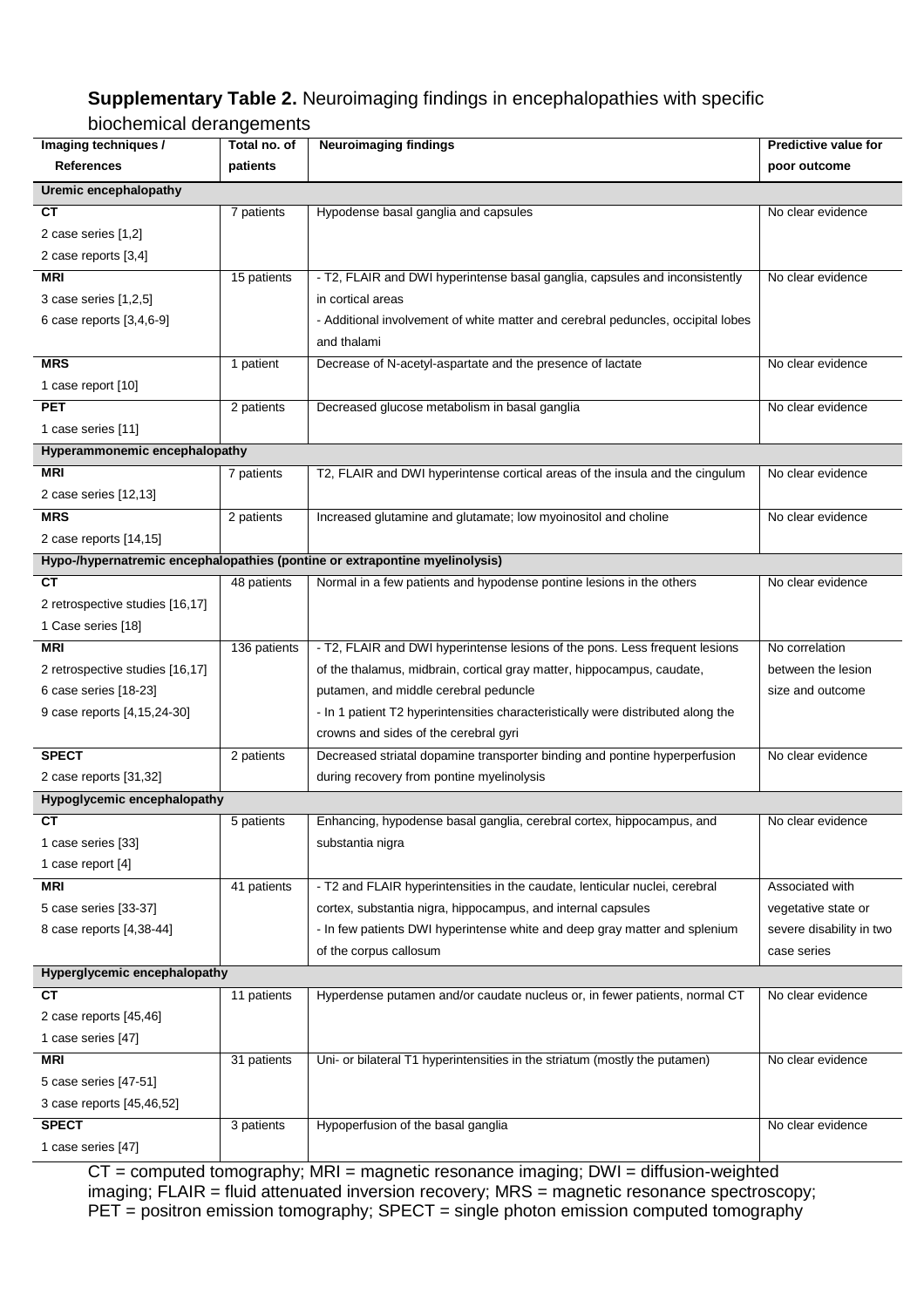## **Supplementary Table 2.** Neuroimaging findings in encephalopathies with specific

## biochemical derangements

| Imaging techniques /            | Total no. of | <b>Neuroimaging findings</b>                                                               | <b>Predictive value for</b> |
|---------------------------------|--------------|--------------------------------------------------------------------------------------------|-----------------------------|
| <b>References</b>               | patients     |                                                                                            | poor outcome                |
| Uremic encephalopathy           |              |                                                                                            |                             |
| <b>CT</b>                       | 7 patients   | Hypodense basal ganglia and capsules                                                       | No clear evidence           |
| 2 case series [1,2]             |              |                                                                                            |                             |
| 2 case reports [3,4]            |              |                                                                                            |                             |
| <b>MRI</b>                      | 15 patients  | - T2, FLAIR and DWI hyperintense basal ganglia, capsules and inconsistently                | No clear evidence           |
| 3 case series [1,2,5]           |              | in cortical areas                                                                          |                             |
| 6 case reports [3,4,6-9]        |              | - Additional involvement of white matter and cerebral peduncles, occipital lobes           |                             |
|                                 |              | and thalami                                                                                |                             |
| <b>MRS</b>                      | 1 patient    | Decrease of N-acetyl-aspartate and the presence of lactate                                 | No clear evidence           |
| 1 case report [10]              |              |                                                                                            |                             |
| <b>PET</b>                      | 2 patients   | Decreased glucose metabolism in basal ganglia                                              | No clear evidence           |
| 1 case series [11]              |              |                                                                                            |                             |
| Hyperammonemic encephalopathy   |              |                                                                                            |                             |
| <b>MRI</b>                      | 7 patients   | T2, FLAIR and DWI hyperintense cortical areas of the insula and the cingulum               | No clear evidence           |
| 2 case series [12,13]           |              |                                                                                            |                             |
| <b>MRS</b>                      | 2 patients   | Increased glutamine and glutamate; low myoinositol and choline                             | No clear evidence           |
| 2 case reports [14,15]          |              |                                                                                            |                             |
|                                 |              | Hypo-/hypernatremic encephalopathies (pontine or extrapontine myelinolysis)                |                             |
| <b>CT</b>                       | 48 patients  | Normal in a few patients and hypodense pontine lesions in the others                       | No clear evidence           |
| 2 retrospective studies [16,17] |              |                                                                                            |                             |
| 1 Case series [18]              |              |                                                                                            |                             |
| <b>MRI</b>                      | 136 patients | - T2, FLAIR and DWI hyperintense lesions of the pons. Less frequent lesions                | No correlation              |
| 2 retrospective studies [16,17] |              | of the thalamus, midbrain, cortical gray matter, hippocampus, caudate,                     | between the lesion          |
| 6 case series [18-23]           |              | putamen, and middle cerebral peduncle                                                      | size and outcome            |
| 9 case reports [4,15,24-30]     |              | - In 1 patient T2 hyperintensities characteristically were distributed along the           |                             |
|                                 |              | crowns and sides of the cerebral gyri                                                      |                             |
| <b>SPECT</b>                    | 2 patients   | Decreased striatal dopamine transporter binding and pontine hyperperfusion                 | No clear evidence           |
| 2 case reports [31,32]          |              | during recovery from pontine myelinolysis                                                  |                             |
| Hypoglycemic encephalopathy     |              |                                                                                            |                             |
| $\overline{\text{c} \text{T}}$  | 5 patients   | Enhancing, hypodense basal ganglia, cerebral cortex, hippocampus, and                      | No clear evidence           |
| 1 case series [33]              |              | substantia nigra                                                                           |                             |
| 1 case report [4]               |              |                                                                                            |                             |
| <b>MRI</b>                      | 41 patients  | - T2 and FLAIR hyperintensities in the caudate, lenticular nuclei, cerebral                | Associated with             |
| 5 case series [33-37]           |              | cortex, substantia nigra, hippocampus, and internal capsules                               | vegetative state or         |
| 8 case reports [4,38-44]        |              | - In few patients DWI hyperintense white and deep gray matter and splenium                 | severe disability in two    |
|                                 |              | of the corpus callosum                                                                     | case series                 |
| Hyperglycemic encephalopathy    |              |                                                                                            |                             |
| <b>CT</b>                       | 11 patients  | Hyperdense putamen and/or caudate nucleus or, in fewer patients, normal CT                 | No clear evidence           |
| 2 case reports [45,46]          |              |                                                                                            |                             |
| 1 case series [47]              |              |                                                                                            |                             |
| <b>MRI</b>                      | 31 patients  | Uni- or bilateral T1 hyperintensities in the striatum (mostly the putamen)                 | No clear evidence           |
| 5 case series [47-51]           |              |                                                                                            |                             |
| 3 case reports [45,46,52]       |              |                                                                                            |                             |
| <b>SPECT</b>                    | 3 patients   | Hypoperfusion of the basal ganglia                                                         | No clear evidence           |
| 1 case series [47]              |              |                                                                                            |                             |
|                                 |              | $CT =$ computed tomography: $MRI =$ magnetic resonance imaging: $DMI =$ diffusion-weighted |                             |

CT = computed tomography; MRI = magnetic resonance imaging; DWI = diffusion-weighted imaging; FLAIR = fluid attenuated inversion recovery; MRS = magnetic resonance spectroscopy; PET = positron emission tomography; SPECT = single photon emission computed tomography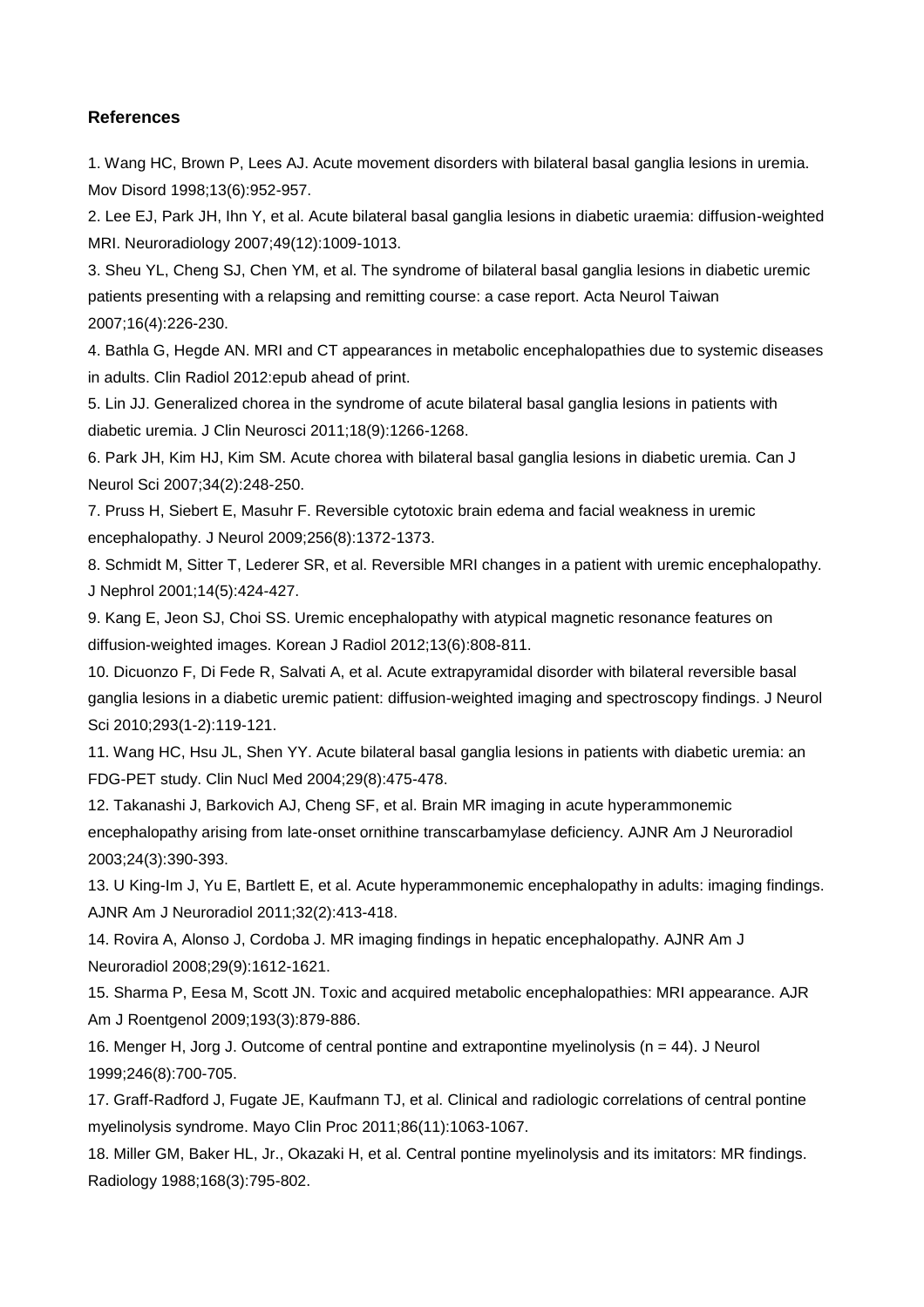## **References**

1. Wang HC, Brown P, Lees AJ. Acute movement disorders with bilateral basal ganglia lesions in uremia. Mov Disord 1998;13(6):952-957.

2. Lee EJ, Park JH, Ihn Y, et al. Acute bilateral basal ganglia lesions in diabetic uraemia: diffusion-weighted MRI. Neuroradiology 2007;49(12):1009-1013.

3. Sheu YL, Cheng SJ, Chen YM, et al. The syndrome of bilateral basal ganglia lesions in diabetic uremic patients presenting with a relapsing and remitting course: a case report. Acta Neurol Taiwan 2007;16(4):226-230.

4. Bathla G, Hegde AN. MRI and CT appearances in metabolic encephalopathies due to systemic diseases in adults. Clin Radiol 2012:epub ahead of print.

5. Lin JJ. Generalized chorea in the syndrome of acute bilateral basal ganglia lesions in patients with diabetic uremia. J Clin Neurosci 2011;18(9):1266-1268.

6. Park JH, Kim HJ, Kim SM. Acute chorea with bilateral basal ganglia lesions in diabetic uremia. Can J Neurol Sci 2007;34(2):248-250.

7. Pruss H, Siebert E, Masuhr F. Reversible cytotoxic brain edema and facial weakness in uremic encephalopathy. J Neurol 2009;256(8):1372-1373.

8. Schmidt M, Sitter T, Lederer SR, et al. Reversible MRI changes in a patient with uremic encephalopathy. J Nephrol 2001;14(5):424-427.

9. Kang E, Jeon SJ, Choi SS. Uremic encephalopathy with atypical magnetic resonance features on diffusion-weighted images. Korean J Radiol 2012;13(6):808-811.

10. Dicuonzo F, Di Fede R, Salvati A, et al. Acute extrapyramidal disorder with bilateral reversible basal ganglia lesions in a diabetic uremic patient: diffusion-weighted imaging and spectroscopy findings. J Neurol Sci 2010;293(1-2):119-121.

11. Wang HC, Hsu JL, Shen YY. Acute bilateral basal ganglia lesions in patients with diabetic uremia: an FDG-PET study. Clin Nucl Med 2004;29(8):475-478.

12. Takanashi J, Barkovich AJ, Cheng SF, et al. Brain MR imaging in acute hyperammonemic encephalopathy arising from late-onset ornithine transcarbamylase deficiency. AJNR Am J Neuroradiol 2003;24(3):390-393.

13. U King-Im J, Yu E, Bartlett E, et al. Acute hyperammonemic encephalopathy in adults: imaging findings. AJNR Am J Neuroradiol 2011;32(2):413-418.

14. Rovira A, Alonso J, Cordoba J. MR imaging findings in hepatic encephalopathy. AJNR Am J Neuroradiol 2008;29(9):1612-1621.

15. Sharma P, Eesa M, Scott JN. Toxic and acquired metabolic encephalopathies: MRI appearance. AJR Am J Roentgenol 2009;193(3):879-886.

16. Menger H, Jorg J. Outcome of central pontine and extrapontine myelinolysis (n = 44). J Neurol 1999;246(8):700-705.

17. Graff-Radford J, Fugate JE, Kaufmann TJ, et al. Clinical and radiologic correlations of central pontine myelinolysis syndrome. Mayo Clin Proc 2011;86(11):1063-1067.

18. Miller GM, Baker HL, Jr., Okazaki H, et al. Central pontine myelinolysis and its imitators: MR findings. Radiology 1988;168(3):795-802.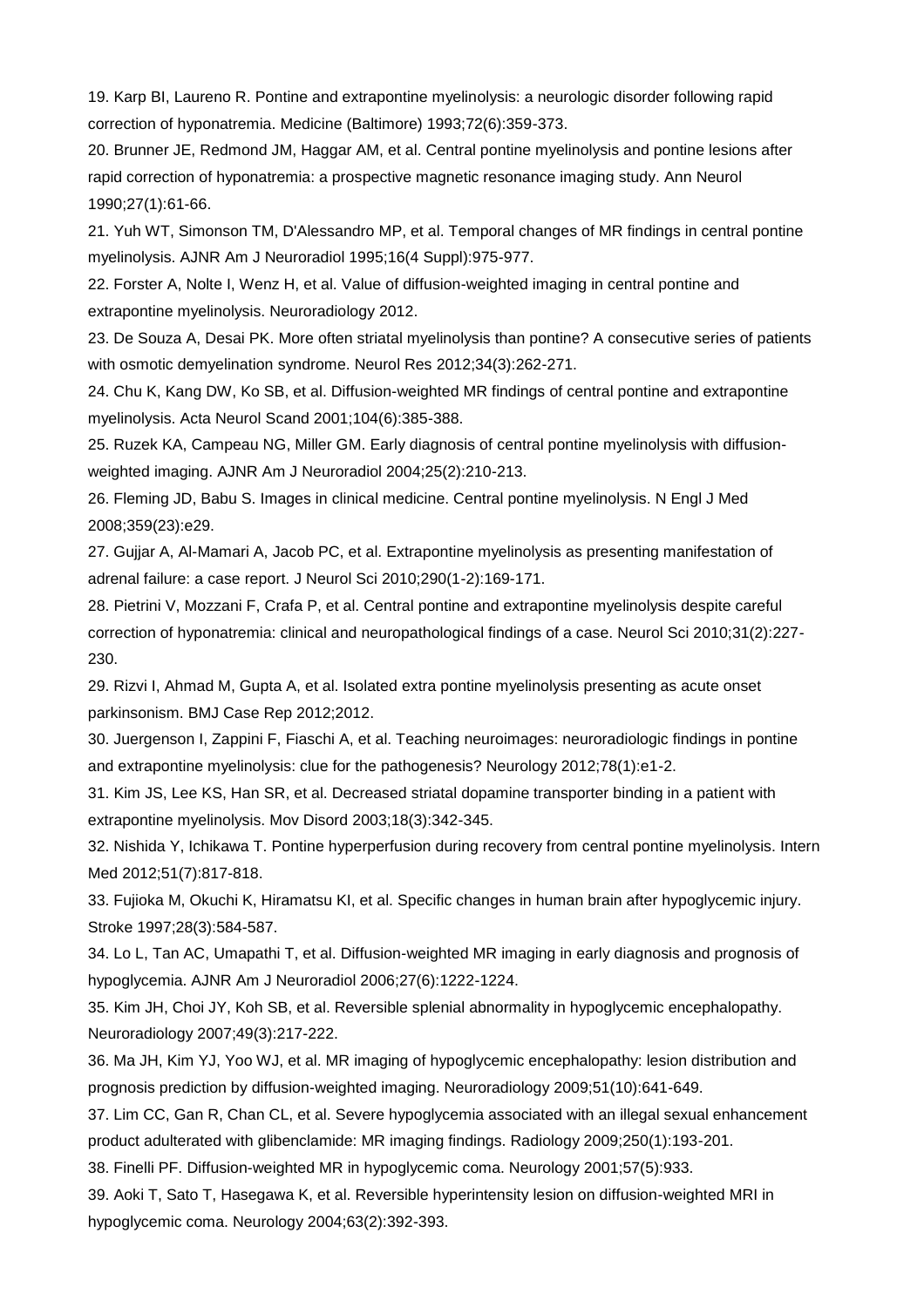19. Karp BI, Laureno R. Pontine and extrapontine myelinolysis: a neurologic disorder following rapid correction of hyponatremia. Medicine (Baltimore) 1993;72(6):359-373.

20. Brunner JE, Redmond JM, Haggar AM, et al. Central pontine myelinolysis and pontine lesions after rapid correction of hyponatremia: a prospective magnetic resonance imaging study. Ann Neurol 1990;27(1):61-66.

21. Yuh WT, Simonson TM, D'Alessandro MP, et al. Temporal changes of MR findings in central pontine myelinolysis. AJNR Am J Neuroradiol 1995;16(4 Suppl):975-977.

22. Forster A, Nolte I, Wenz H, et al. Value of diffusion-weighted imaging in central pontine and extrapontine myelinolysis. Neuroradiology 2012.

23. De Souza A, Desai PK. More often striatal myelinolysis than pontine? A consecutive series of patients with osmotic demyelination syndrome. Neurol Res 2012;34(3):262-271.

24. Chu K, Kang DW, Ko SB, et al. Diffusion-weighted MR findings of central pontine and extrapontine myelinolysis. Acta Neurol Scand 2001;104(6):385-388.

25. Ruzek KA, Campeau NG, Miller GM. Early diagnosis of central pontine myelinolysis with diffusionweighted imaging. AJNR Am J Neuroradiol 2004;25(2):210-213.

26. Fleming JD, Babu S. Images in clinical medicine. Central pontine myelinolysis. N Engl J Med 2008;359(23):e29.

27. Gujjar A, Al-Mamari A, Jacob PC, et al. Extrapontine myelinolysis as presenting manifestation of adrenal failure: a case report. J Neurol Sci 2010;290(1-2):169-171.

28. Pietrini V, Mozzani F, Crafa P, et al. Central pontine and extrapontine myelinolysis despite careful correction of hyponatremia: clinical and neuropathological findings of a case. Neurol Sci 2010;31(2):227- 230.

29. Rizvi I, Ahmad M, Gupta A, et al. Isolated extra pontine myelinolysis presenting as acute onset parkinsonism. BMJ Case Rep 2012;2012.

30. Juergenson I, Zappini F, Fiaschi A, et al. Teaching neuroimages: neuroradiologic findings in pontine and extrapontine myelinolysis: clue for the pathogenesis? Neurology 2012;78(1):e1-2.

31. Kim JS, Lee KS, Han SR, et al. Decreased striatal dopamine transporter binding in a patient with extrapontine myelinolysis. Mov Disord 2003;18(3):342-345.

32. Nishida Y, Ichikawa T. Pontine hyperperfusion during recovery from central pontine myelinolysis. Intern Med 2012;51(7):817-818.

33. Fujioka M, Okuchi K, Hiramatsu KI, et al. Specific changes in human brain after hypoglycemic injury. Stroke 1997;28(3):584-587.

34. Lo L, Tan AC, Umapathi T, et al. Diffusion-weighted MR imaging in early diagnosis and prognosis of hypoglycemia. AJNR Am J Neuroradiol 2006;27(6):1222-1224.

35. Kim JH, Choi JY, Koh SB, et al. Reversible splenial abnormality in hypoglycemic encephalopathy. Neuroradiology 2007;49(3):217-222.

36. Ma JH, Kim YJ, Yoo WJ, et al. MR imaging of hypoglycemic encephalopathy: lesion distribution and prognosis prediction by diffusion-weighted imaging. Neuroradiology 2009;51(10):641-649.

37. Lim CC, Gan R, Chan CL, et al. Severe hypoglycemia associated with an illegal sexual enhancement product adulterated with glibenclamide: MR imaging findings. Radiology 2009;250(1):193-201.

38. Finelli PF. Diffusion-weighted MR in hypoglycemic coma. Neurology 2001;57(5):933.

39. Aoki T, Sato T, Hasegawa K, et al. Reversible hyperintensity lesion on diffusion-weighted MRI in hypoglycemic coma. Neurology 2004;63(2):392-393.